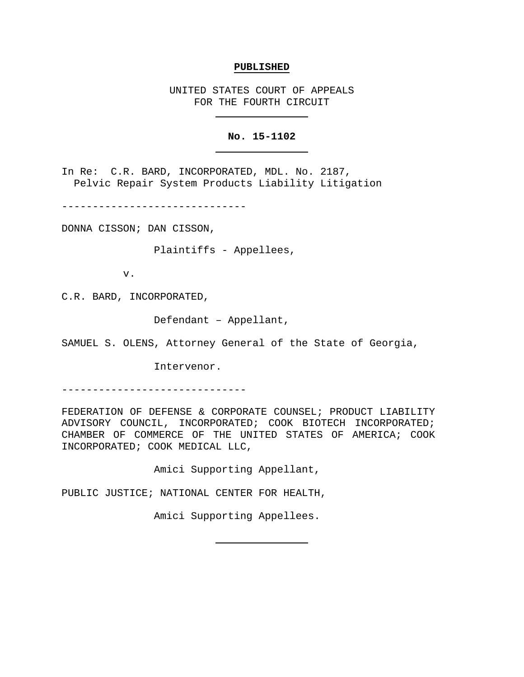#### **PUBLISHED**

UNITED STATES COURT OF APPEALS FOR THE FOURTH CIRCUIT

## **No. 15-1102**

In Re: C.R. BARD, INCORPORATED, MDL. No. 2187, Pelvic Repair System Products Liability Litigation

------------------------------

DONNA CISSON; DAN CISSON,

Plaintiffs - Appellees,

v.

C.R. BARD, INCORPORATED,

Defendant – Appellant,

SAMUEL S. OLENS, Attorney General of the State of Georgia,

Intervenor.

------------------------------

FEDERATION OF DEFENSE & CORPORATE COUNSEL; PRODUCT LIABILITY ADVISORY COUNCIL, INCORPORATED; COOK BIOTECH INCORPORATED; CHAMBER OF COMMERCE OF THE UNITED STATES OF AMERICA; COOK INCORPORATED; COOK MEDICAL LLC,

Amici Supporting Appellant,

PUBLIC JUSTICE; NATIONAL CENTER FOR HEALTH,

Amici Supporting Appellees.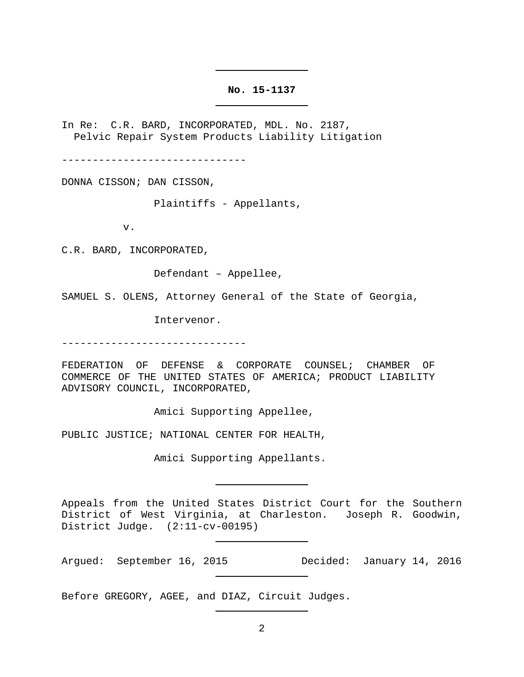#### **No. 15-1137**

In Re: C.R. BARD, INCORPORATED, MDL. No. 2187, Pelvic Repair System Products Liability Litigation

------------------------------

DONNA CISSON; DAN CISSON,

Plaintiffs - Appellants,

v.

C.R. BARD, INCORPORATED,

Defendant – Appellee,

SAMUEL S. OLENS, Attorney General of the State of Georgia,

Intervenor.

------------------------------

FEDERATION OF DEFENSE & CORPORATE COUNSEL; CHAMBER OF COMMERCE OF THE UNITED STATES OF AMERICA; PRODUCT LIABILITY ADVISORY COUNCIL, INCORPORATED,

Amici Supporting Appellee,

PUBLIC JUSTICE; NATIONAL CENTER FOR HEALTH,

Amici Supporting Appellants.

Appeals from the United States District Court for the Southern District of West Virginia, at Charleston. Joseph R. Goodwin, District Judge. (2:11-cv-00195)

Argued: September 16, 2015 Decided: January 14, 2016

Before GREGORY, AGEE, and DIAZ, Circuit Judges.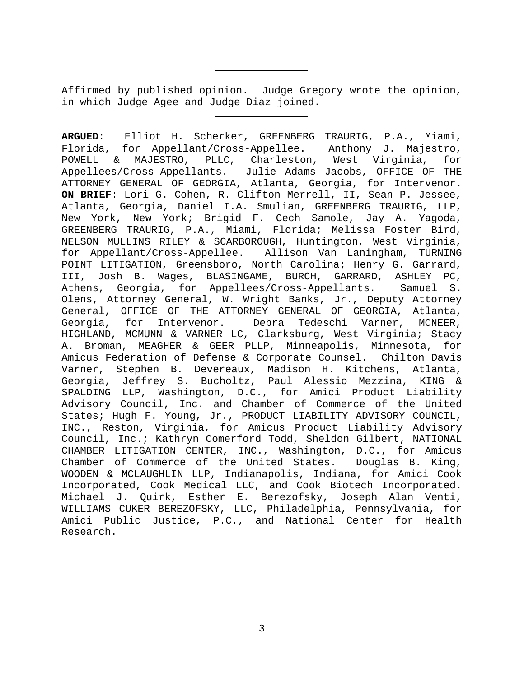Affirmed by published opinion. Judge Gregory wrote the opinion, in which Judge Agee and Judge Diaz joined.

**ARGUED**: Elliot H. Scherker, GREENBERG TRAURIG, P.A., Miami, Florida, for Appellant/Cross-Appellee. Anthony J. Majestro, POWELL & MAJESTRO, PLLC, Charleston, West Virginia, for Appellees/Cross-Appellants. Julie Adams Jacobs, OFFICE OF THE ATTORNEY GENERAL OF GEORGIA, Atlanta, Georgia, for Intervenor. **ON BRIEF**: Lori G. Cohen, R. Clifton Merrell, II, Sean P. Jessee, Atlanta, Georgia, Daniel I.A. Smulian, GREENBERG TRAURIG, LLP, New York, New York; Brigid F. Cech Samole, Jay A. Yagoda, GREENBERG TRAURIG, P.A., Miami, Florida; Melissa Foster Bird, NELSON MULLINS RILEY & SCARBOROUGH, Huntington, West Virginia, for Appellant/Cross-Appellee. Allison Van Laningham, TURNING POINT LITIGATION, Greensboro, North Carolina; Henry G. Garrard, III, Josh B. Wages, BLASINGAME, BURCH, GARRARD, ASHLEY PC, Athens, Georgia, for Appellees/Cross-Appellants. Samuel S. Olens, Attorney General, W. Wright Banks, Jr., Deputy Attorney General, OFFICE OF THE ATTORNEY GENERAL OF GEORGIA, Atlanta, Georgia, for Intervenor. Debra Tedeschi Varner, MCNEER, HIGHLAND, MCMUNN & VARNER LC, Clarksburg, West Virginia; Stacy A. Broman, MEAGHER & GEER PLLP, Minneapolis, Minnesota, for Amicus Federation of Defense & Corporate Counsel. Chilton Davis Varner, Stephen B. Devereaux, Madison H. Kitchens, Atlanta, Georgia, Jeffrey S. Bucholtz, Paul Alessio Mezzina, KING & SPALDING LLP, Washington, D.C., for Amici Product Liability Advisory Council, Inc. and Chamber of Commerce of the United States; Hugh F. Young, Jr., PRODUCT LIABILITY ADVISORY COUNCIL, INC., Reston, Virginia, for Amicus Product Liability Advisory Council, Inc.; Kathryn Comerford Todd, Sheldon Gilbert, NATIONAL CHAMBER LITIGATION CENTER, INC., Washington, D.C., for Amicus<br>Chamber of Commerce of the United States. Douglas B. King, Chamber of Commerce of the United States. WOODEN & MCLAUGHLIN LLP, Indianapolis, Indiana, for Amici Cook Incorporated, Cook Medical LLC, and Cook Biotech Incorporated. Michael J. Quirk, Esther E. Berezofsky, Joseph Alan Venti, WILLIAMS CUKER BEREZOFSKY, LLC, Philadelphia, Pennsylvania, for Amici Public Justice, P.C., and National Center for Health Research.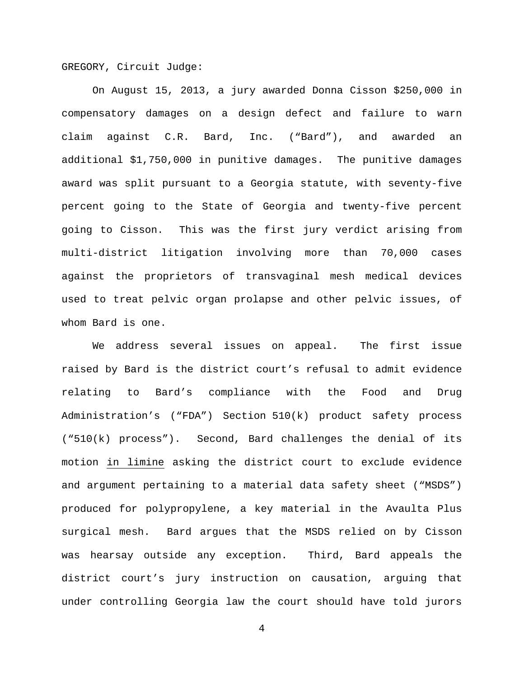GREGORY, Circuit Judge:

On August 15, 2013, a jury awarded Donna Cisson \$250,000 in compensatory damages on a design defect and failure to warn claim against C.R. Bard, Inc. ("Bard"), and awarded an additional \$1,750,000 in punitive damages. The punitive damages award was split pursuant to a Georgia statute, with seventy-five percent going to the State of Georgia and twenty-five percent going to Cisson. This was the first jury verdict arising from multi-district litigation involving more than 70,000 cases against the proprietors of transvaginal mesh medical devices used to treat pelvic organ prolapse and other pelvic issues, of whom Bard is one.

We address several issues on appeal. The first issue raised by Bard is the district court's refusal to admit evidence relating to Bard's compliance with the Food and Drug Administration's ("FDA") Section 510(k) product safety process ("510(k) process"). Second, Bard challenges the denial of its motion in limine asking the district court to exclude evidence and argument pertaining to a material data safety sheet ("MSDS") produced for polypropylene, a key material in the Avaulta Plus surgical mesh. Bard argues that the MSDS relied on by Cisson was hearsay outside any exception. Third, Bard appeals the district court's jury instruction on causation, arguing that under controlling Georgia law the court should have told jurors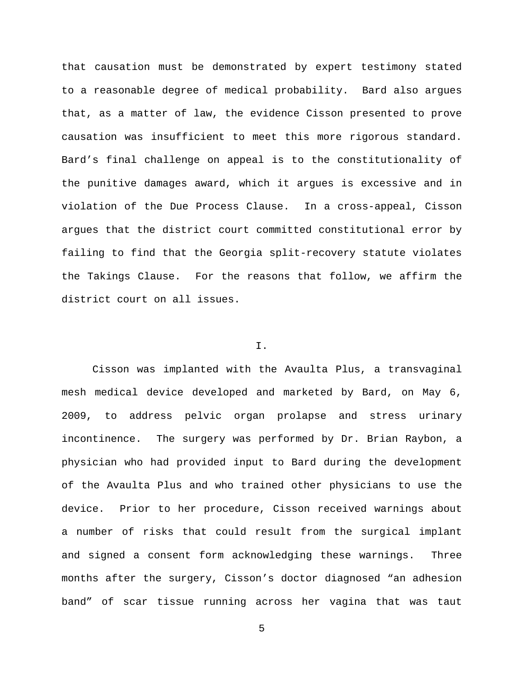that causation must be demonstrated by expert testimony stated to a reasonable degree of medical probability. Bard also argues that, as a matter of law, the evidence Cisson presented to prove causation was insufficient to meet this more rigorous standard. Bard's final challenge on appeal is to the constitutionality of the punitive damages award, which it argues is excessive and in violation of the Due Process Clause. In a cross-appeal, Cisson argues that the district court committed constitutional error by failing to find that the Georgia split-recovery statute violates the Takings Clause. For the reasons that follow, we affirm the district court on all issues.

## I.

Cisson was implanted with the Avaulta Plus, a transvaginal mesh medical device developed and marketed by Bard, on May 6, 2009, to address pelvic organ prolapse and stress urinary incontinence. The surgery was performed by Dr. Brian Raybon, a physician who had provided input to Bard during the development of the Avaulta Plus and who trained other physicians to use the device. Prior to her procedure, Cisson received warnings about a number of risks that could result from the surgical implant and signed a consent form acknowledging these warnings. Three months after the surgery, Cisson's doctor diagnosed "an adhesion band" of scar tissue running across her vagina that was taut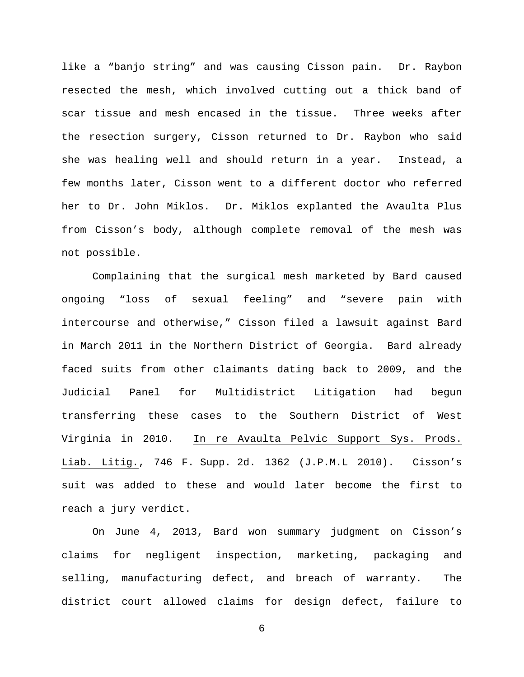like a "banjo string" and was causing Cisson pain. Dr. Raybon resected the mesh, which involved cutting out a thick band of scar tissue and mesh encased in the tissue. Three weeks after the resection surgery, Cisson returned to Dr. Raybon who said she was healing well and should return in a year. Instead, a few months later, Cisson went to a different doctor who referred her to Dr. John Miklos. Dr. Miklos explanted the Avaulta Plus from Cisson's body, although complete removal of the mesh was not possible.

Complaining that the surgical mesh marketed by Bard caused ongoing "loss of sexual feeling" and "severe pain with intercourse and otherwise," Cisson filed a lawsuit against Bard in March 2011 in the Northern District of Georgia. Bard already faced suits from other claimants dating back to 2009, and the Judicial Panel for Multidistrict Litigation had begun transferring these cases to the Southern District of West Virginia in 2010. In re Avaulta Pelvic Support Sys. Prods. Liab. Litig., 746 F. Supp. 2d. 1362 (J.P.M.L 2010). Cisson's suit was added to these and would later become the first to reach a jury verdict.

On June 4, 2013, Bard won summary judgment on Cisson's claims for negligent inspection, marketing, packaging and selling, manufacturing defect, and breach of warranty. The district court allowed claims for design defect, failure to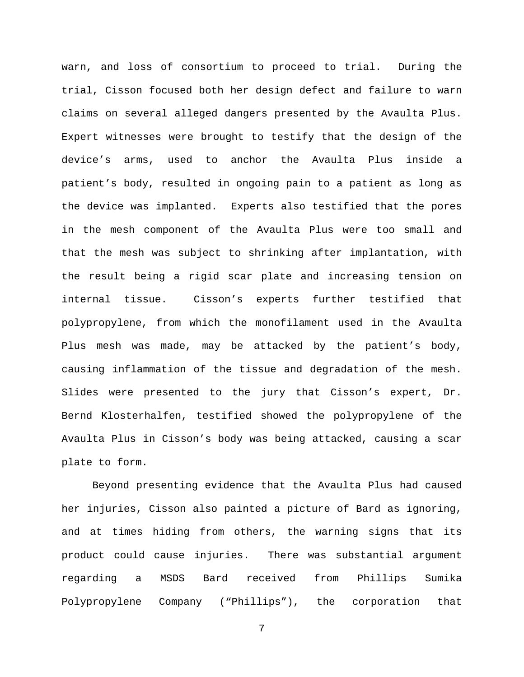warn, and loss of consortium to proceed to trial. During the trial, Cisson focused both her design defect and failure to warn claims on several alleged dangers presented by the Avaulta Plus. Expert witnesses were brought to testify that the design of the device's arms, used to anchor the Avaulta Plus inside a patient's body, resulted in ongoing pain to a patient as long as the device was implanted. Experts also testified that the pores in the mesh component of the Avaulta Plus were too small and that the mesh was subject to shrinking after implantation, with the result being a rigid scar plate and increasing tension on internal tissue. Cisson's experts further testified that polypropylene, from which the monofilament used in the Avaulta Plus mesh was made, may be attacked by the patient's body, causing inflammation of the tissue and degradation of the mesh. Slides were presented to the jury that Cisson's expert, Dr. Bernd Klosterhalfen, testified showed the polypropylene of the Avaulta Plus in Cisson's body was being attacked, causing a scar plate to form.

Beyond presenting evidence that the Avaulta Plus had caused her injuries, Cisson also painted a picture of Bard as ignoring, and at times hiding from others, the warning signs that its product could cause injuries. There was substantial argument regarding a MSDS Bard received from Phillips Sumika Polypropylene Company ("Phillips"), the corporation that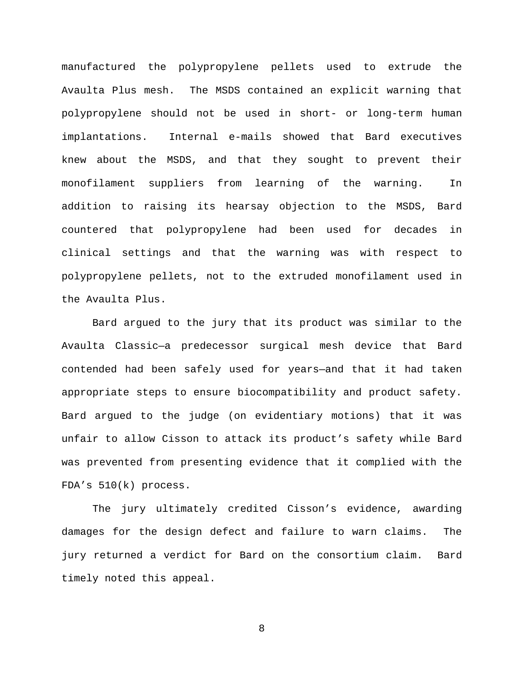manufactured the polypropylene pellets used to extrude the Avaulta Plus mesh. The MSDS contained an explicit warning that polypropylene should not be used in short- or long-term human implantations. Internal e-mails showed that Bard executives knew about the MSDS, and that they sought to prevent their monofilament suppliers from learning of the warning. In addition to raising its hearsay objection to the MSDS, Bard countered that polypropylene had been used for decades in clinical settings and that the warning was with respect to polypropylene pellets, not to the extruded monofilament used in the Avaulta Plus.

Bard argued to the jury that its product was similar to the Avaulta Classic—a predecessor surgical mesh device that Bard contended had been safely used for years—and that it had taken appropriate steps to ensure biocompatibility and product safety. Bard argued to the judge (on evidentiary motions) that it was unfair to allow Cisson to attack its product's safety while Bard was prevented from presenting evidence that it complied with the FDA's 510(k) process.

The jury ultimately credited Cisson's evidence, awarding damages for the design defect and failure to warn claims. The jury returned a verdict for Bard on the consortium claim. Bard timely noted this appeal.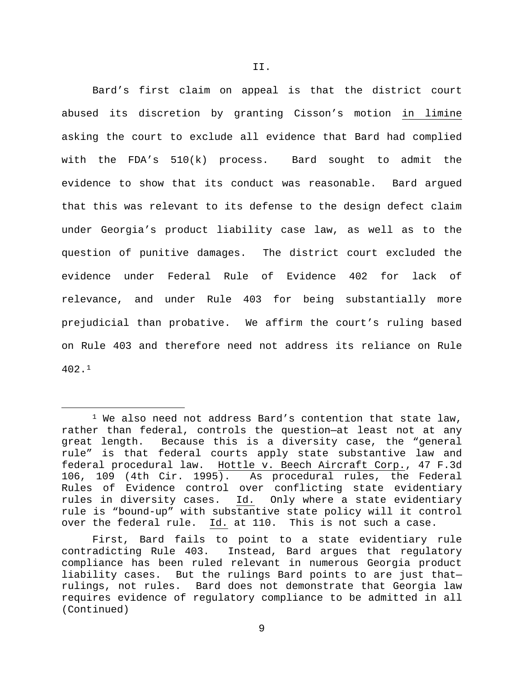Bard's first claim on appeal is that the district court abused its discretion by granting Cisson's motion in limine asking the court to exclude all evidence that Bard had complied with the FDA's 510(k) process. Bard sought to admit the evidence to show that its conduct was reasonable. Bard argued that this was relevant to its defense to the design defect claim under Georgia's product liability case law, as well as to the question of punitive damages. The district court excluded the evidence under Federal Rule of Evidence 402 for lack of relevance, and under Rule 403 for being substantially more prejudicial than probative. We affirm the court's ruling based on Rule 403 and therefore need not address its reliance on Rule 402.[1](#page-8-0)

<span id="page-8-0"></span> $1$  We also need not address Bard's contention that state law, rather than federal, controls the question-at least not at any<br>great length. Because this is a diversity case, the "general Because this is a diversity case, the "general rule" is that federal courts apply state substantive law and federal procedural law. Hottle v. Beech Aircraft Corp., 47 F.3d 106, 109 (4th Cir. 1995). As procedural rules, the Federal Rules of Evidence control over conflicting state evidentiary<br>rules in diversity cases. Id. Only where a state evidentiary Only where a state evidentiary rule is "bound-up" with substantive state policy will it control over the federal rule. Id. at 110. This is not such a case.

First, Bard fails to point to a state evidentiary rule<br>contradicting Rule 403. Instead, Bard arques that regulatory Instead, Bard argues that regulatory compliance has been ruled relevant in numerous Georgia product liability cases. But the rulings Bard points to are just that-<br>rulings, not rules. Bard does not demonstrate that Georgia law Bard does not demonstrate that Georgia law requires evidence of regulatory compliance to be admitted in all (Continued)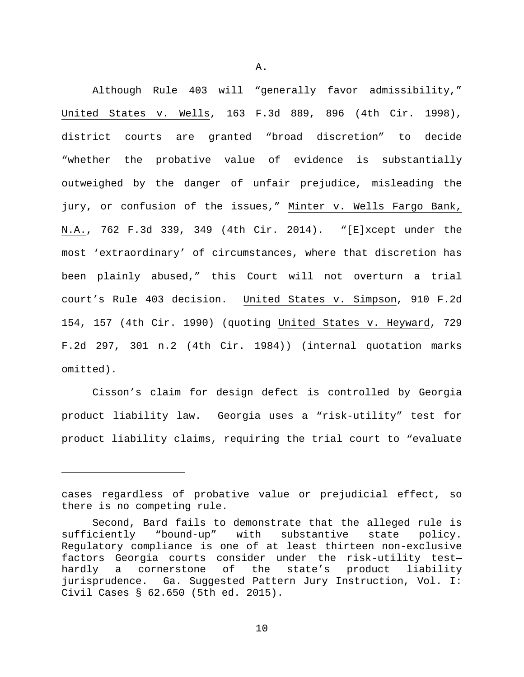Although Rule 403 will "generally favor admissibility," United States v. Wells, 163 F.3d 889, 896 (4th Cir. 1998), district courts are granted "broad discretion" to decide "whether the probative value of evidence is substantially outweighed by the danger of unfair prejudice, misleading the jury, or confusion of the issues," Minter v. Wells Fargo Bank, N.A., 762 F.3d 339, 349 (4th Cir. 2014). "[E]xcept under the most 'extraordinary' of circumstances, where that discretion has been plainly abused," this Court will not overturn a trial court's Rule 403 decision. United States v. Simpson, 910 F.2d 154, 157 (4th Cir. 1990) (quoting United States v. Heyward, 729 F.2d 297, 301 n.2 (4th Cir. 1984)) (internal quotation marks omitted).

Cisson's claim for design defect is controlled by Georgia product liability law. Georgia uses a "risk-utility" test for product liability claims, requiring the trial court to "evaluate

Ĩ.

cases regardless of probative value or prejudicial effect, so there is no competing rule.

Second, Bard fails to demonstrate that the alleged rule is sufficiently "bound-up" with substantive state policy. Regulatory compliance is one of at least thirteen non-exclusive factors Georgia courts consider under the risk-utility test-<br>hardly a cornerstone of the state's product liability a cornerstone of the state's product jurisprudence. Ga. Suggested Pattern Jury Instruction, Vol. I: Civil Cases § 62.650 (5th ed. 2015).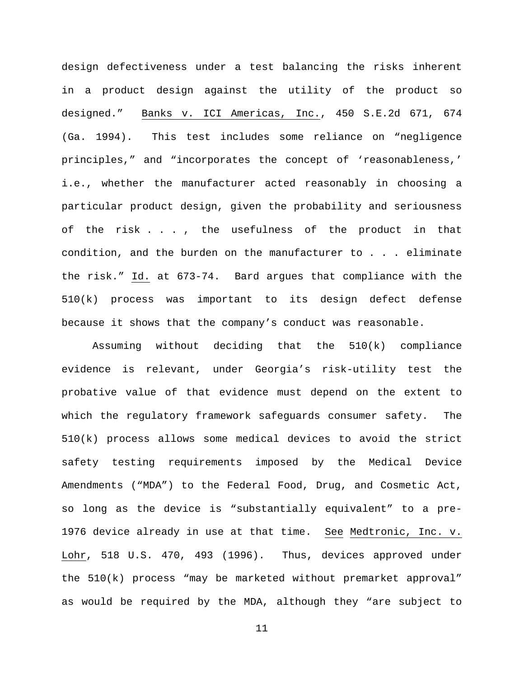design defectiveness under a test balancing the risks inherent in a product design against the utility of the product so designed." Banks v. ICI Americas, Inc., 450 S.E.2d 671, 674 (Ga. 1994). This test includes some reliance on "negligence principles," and "incorporates the concept of 'reasonableness,' i.e., whether the manufacturer acted reasonably in choosing a particular product design, given the probability and seriousness of the risk . . . , the usefulness of the product in that condition, and the burden on the manufacturer to . . . eliminate the risk." Id. at 673-74. Bard argues that compliance with the 510(k) process was important to its design defect defense because it shows that the company's conduct was reasonable.

Assuming without deciding that the 510(k) compliance evidence is relevant, under Georgia's risk-utility test the probative value of that evidence must depend on the extent to which the regulatory framework safeguards consumer safety. The 510(k) process allows some medical devices to avoid the strict safety testing requirements imposed by the Medical Device Amendments ("MDA") to the Federal Food, Drug, and Cosmetic Act, so long as the device is "substantially equivalent" to a pre-1976 device already in use at that time. See Medtronic, Inc. v. Lohr, 518 U.S. 470, 493 (1996). Thus, devices approved under the 510(k) process "may be marketed without premarket approval" as would be required by the MDA, although they "are subject to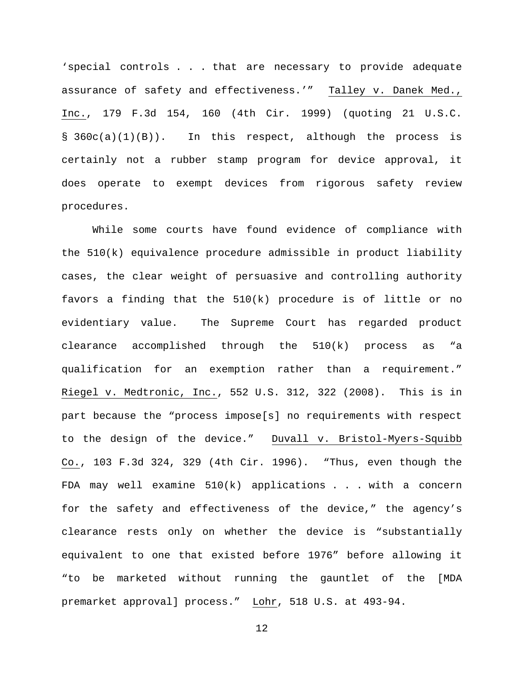'special controls . . . that are necessary to provide adequate assurance of safety and effectiveness.'" Talley v. Danek Med., Inc., 179 F.3d 154, 160 (4th Cir. 1999) (quoting 21 U.S.C.  $\S$  360c(a)(1)(B)). In this respect, although the process is certainly not a rubber stamp program for device approval, it does operate to exempt devices from rigorous safety review procedures.

While some courts have found evidence of compliance with the 510(k) equivalence procedure admissible in product liability cases, the clear weight of persuasive and controlling authority favors a finding that the 510(k) procedure is of little or no evidentiary value. The Supreme Court has regarded product clearance accomplished through the 510(k) process as "a qualification for an exemption rather than a requirement." Riegel v. Medtronic, Inc., 552 U.S. 312, 322 (2008). This is in part because the "process impose[s] no requirements with respect to the design of the device." Duvall v. Bristol-Myers-Squibb Co., 103 F.3d 324, 329 (4th Cir. 1996). "Thus, even though the FDA may well examine  $510(k)$  applications . . . with a concern for the safety and effectiveness of the device," the agency's clearance rests only on whether the device is "substantially equivalent to one that existed before 1976" before allowing it "to be marketed without running the gauntlet of the [MDA premarket approval] process." Lohr, 518 U.S. at 493-94.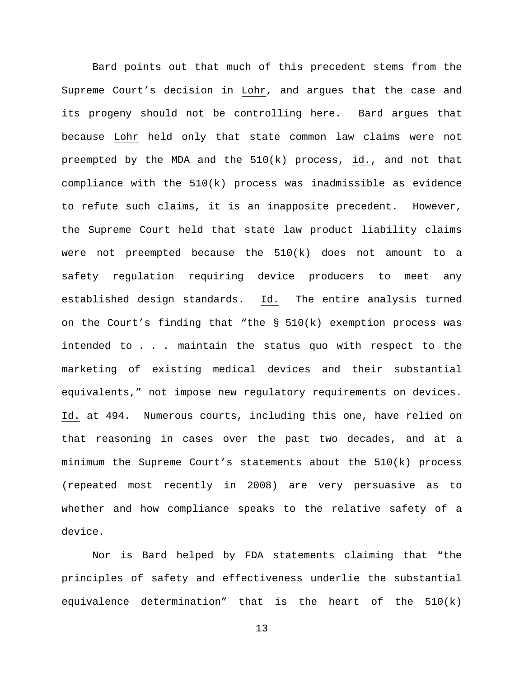Bard points out that much of this precedent stems from the Supreme Court's decision in Lohr, and argues that the case and its progeny should not be controlling here. Bard argues that because Lohr held only that state common law claims were not preempted by the MDA and the 510(k) process, id., and not that compliance with the 510(k) process was inadmissible as evidence to refute such claims, it is an inapposite precedent. However, the Supreme Court held that state law product liability claims were not preempted because the 510(k) does not amount to a safety regulation requiring device producers to meet any established design standards. Id. The entire analysis turned on the Court's finding that "the  $\S$  510(k) exemption process was intended to . . . maintain the status quo with respect to the marketing of existing medical devices and their substantial equivalents," not impose new requlatory requirements on devices. Id. at 494. Numerous courts, including this one, have relied on that reasoning in cases over the past two decades, and at a minimum the Supreme Court's statements about the 510(k) process (repeated most recently in 2008) are very persuasive as to whether and how compliance speaks to the relative safety of a device.

Nor is Bard helped by FDA statements claiming that "the principles of safety and effectiveness underlie the substantial equivalence determination" that is the heart of the 510(k)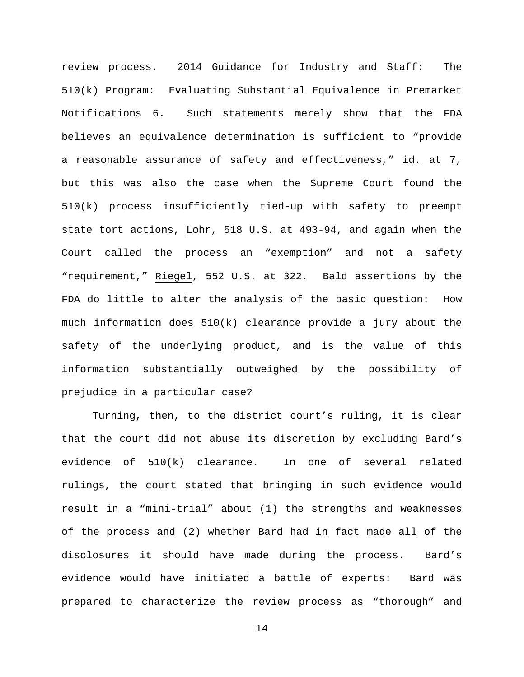review process. 2014 Guidance for Industry and Staff: The 510(k) Program: Evaluating Substantial Equivalence in Premarket Notifications 6. Such statements merely show that the FDA believes an equivalence determination is sufficient to "provide a reasonable assurance of safety and effectiveness," id. at 7, but this was also the case when the Supreme Court found the 510(k) process insufficiently tied-up with safety to preempt state tort actions, Lohr, 518 U.S. at 493-94, and again when the Court called the process an "exemption" and not a safety "requirement," Riegel, 552 U.S. at 322. Bald assertions by the FDA do little to alter the analysis of the basic question: How much information does  $510(k)$  clearance provide a jury about the safety of the underlying product, and is the value of this information substantially outweighed by the possibility of prejudice in a particular case?

Turning, then, to the district court's ruling, it is clear that the court did not abuse its discretion by excluding Bard's evidence of 510(k) clearance. In one of several related rulings, the court stated that bringing in such evidence would result in a "mini-trial" about (1) the strengths and weaknesses of the process and (2) whether Bard had in fact made all of the disclosures it should have made during the process. Bard's evidence would have initiated a battle of experts: Bard was prepared to characterize the review process as "thorough" and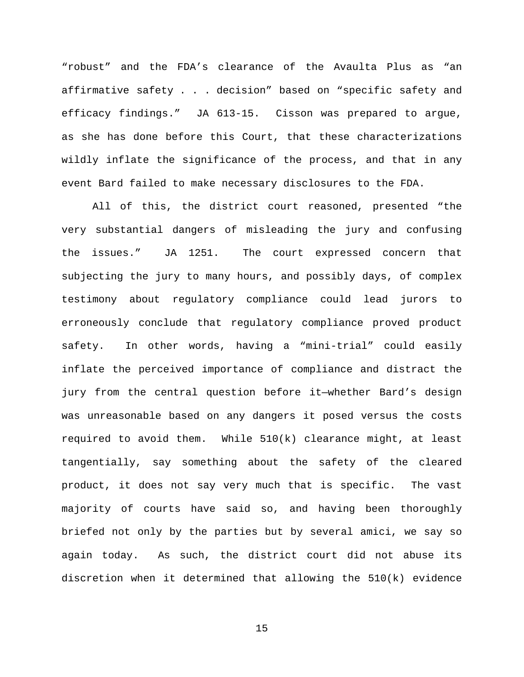"robust" and the FDA's clearance of the Avaulta Plus as "an affirmative safety . . . decision" based on "specific safety and efficacy findings." JA 613-15. Cisson was prepared to argue, as she has done before this Court, that these characterizations wildly inflate the significance of the process, and that in any event Bard failed to make necessary disclosures to the FDA.

All of this, the district court reasoned, presented "the very substantial dangers of misleading the jury and confusing the issues." JA 1251. The court expressed concern that subjecting the jury to many hours, and possibly days, of complex testimony about regulatory compliance could lead jurors to erroneously conclude that regulatory compliance proved product safety. In other words, having a "mini-trial" could easily inflate the perceived importance of compliance and distract the jury from the central question before it—whether Bard's design was unreasonable based on any dangers it posed versus the costs required to avoid them. While 510(k) clearance might, at least tangentially, say something about the safety of the cleared product, it does not say very much that is specific. The vast majority of courts have said so, and having been thoroughly briefed not only by the parties but by several amici, we say so again today. As such, the district court did not abuse its discretion when it determined that allowing the 510(k) evidence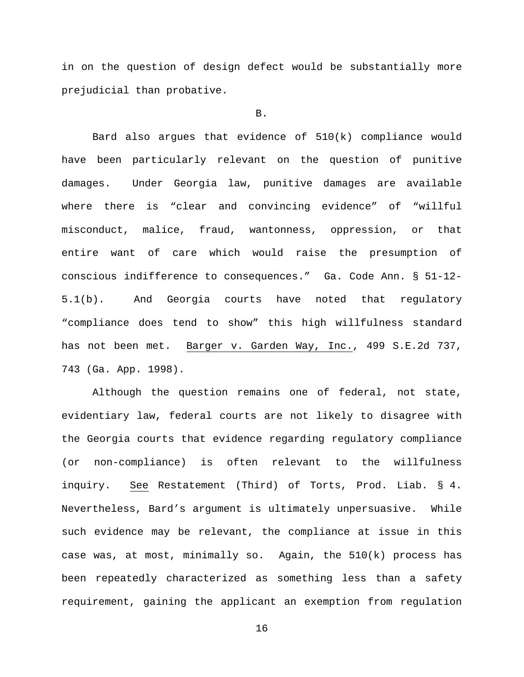in on the question of design defect would be substantially more prejudicial than probative.

### B.

Bard also argues that evidence of 510(k) compliance would have been particularly relevant on the question of punitive damages. Under Georgia law, punitive damages are available where there is "clear and convincing evidence" of "willful misconduct, malice, fraud, wantonness, oppression, or that entire want of care which would raise the presumption of conscious indifference to consequences." Ga. Code Ann. § 51-12- 5.1(b). And Georgia courts have noted that regulatory "compliance does tend to show" this high willfulness standard has not been met. Barger v. Garden Way, Inc., 499 S.E.2d 737, 743 (Ga. App. 1998).

Although the question remains one of federal, not state, evidentiary law, federal courts are not likely to disagree with the Georgia courts that evidence regarding regulatory compliance (or non-compliance) is often relevant to the willfulness inquiry. See Restatement (Third) of Torts, Prod. Liab. § 4. Nevertheless, Bard's argument is ultimately unpersuasive. While such evidence may be relevant, the compliance at issue in this case was, at most, minimally so. Again, the 510(k) process has been repeatedly characterized as something less than a safety requirement, gaining the applicant an exemption from regulation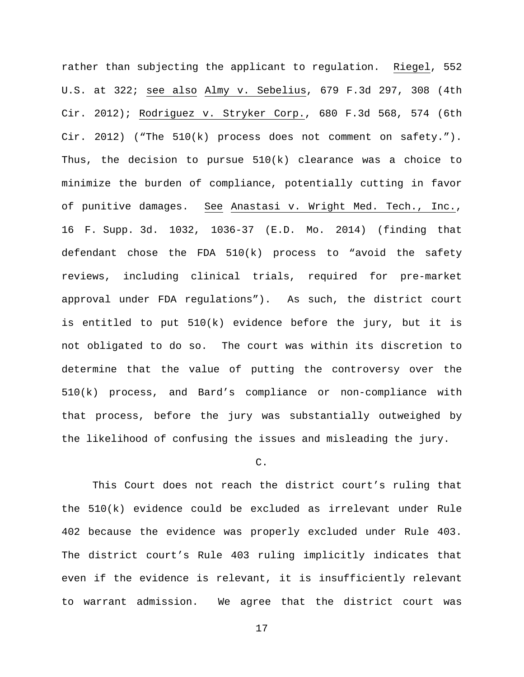rather than subjecting the applicant to regulation. Riegel, 552 U.S. at 322; see also Almy v. Sebelius, 679 F.3d 297, 308 (4th Cir. 2012); Rodriguez v. Stryker Corp., 680 F.3d 568, 574 (6th Cir. 2012) ("The  $510(k)$  process does not comment on safety."). Thus, the decision to pursue 510(k) clearance was a choice to minimize the burden of compliance, potentially cutting in favor of punitive damages. See Anastasi v. Wright Med. Tech., Inc., 16 F. Supp. 3d. 1032, 1036-37 (E.D. Mo. 2014) (finding that defendant chose the FDA 510(k) process to "avoid the safety reviews, including clinical trials, required for pre-market approval under FDA regulations"). As such, the district court is entitled to put 510(k) evidence before the jury, but it is not obligated to do so. The court was within its discretion to determine that the value of putting the controversy over the 510(k) process, and Bard's compliance or non-compliance with that process, before the jury was substantially outweighed by the likelihood of confusing the issues and misleading the jury.

## C.

This Court does not reach the district court's ruling that the 510(k) evidence could be excluded as irrelevant under Rule 402 because the evidence was properly excluded under Rule 403. The district court's Rule 403 ruling implicitly indicates that even if the evidence is relevant, it is insufficiently relevant to warrant admission. We agree that the district court was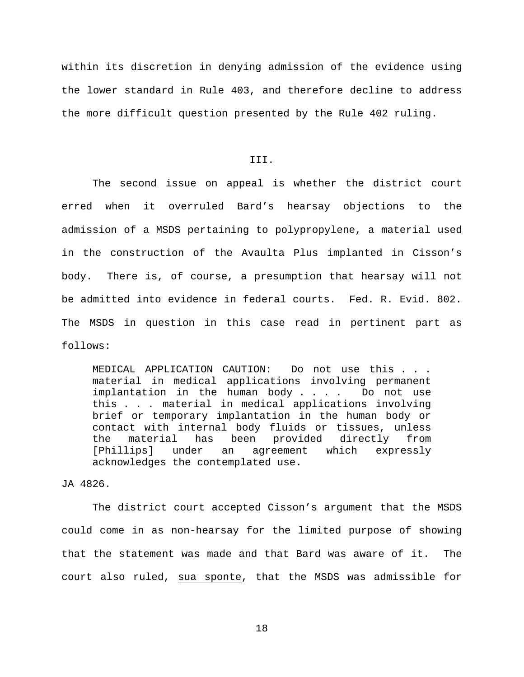within its discretion in denying admission of the evidence using the lower standard in Rule 403, and therefore decline to address the more difficult question presented by the Rule 402 ruling.

# III.

The second issue on appeal is whether the district court erred when it overruled Bard's hearsay objections to the admission of a MSDS pertaining to polypropylene, a material used in the construction of the Avaulta Plus implanted in Cisson's body. There is, of course, a presumption that hearsay will not be admitted into evidence in federal courts. Fed. R. Evid. 802. The MSDS in question in this case read in pertinent part as follows:

MEDICAL APPLICATION CAUTION: Do not use this . . . material in medical applications involving permanent implantation in the human body . . . . Do not use this . . . material in medical applications involving brief or temporary implantation in the human body or contact with internal body fluids or tissues, unless the material has been provided directly from<br>[Phillips] under an agreement which expressly agreement which expressly acknowledges the contemplated use.

# JA 4826.

The district court accepted Cisson's argument that the MSDS could come in as non-hearsay for the limited purpose of showing that the statement was made and that Bard was aware of it. The court also ruled, sua sponte, that the MSDS was admissible for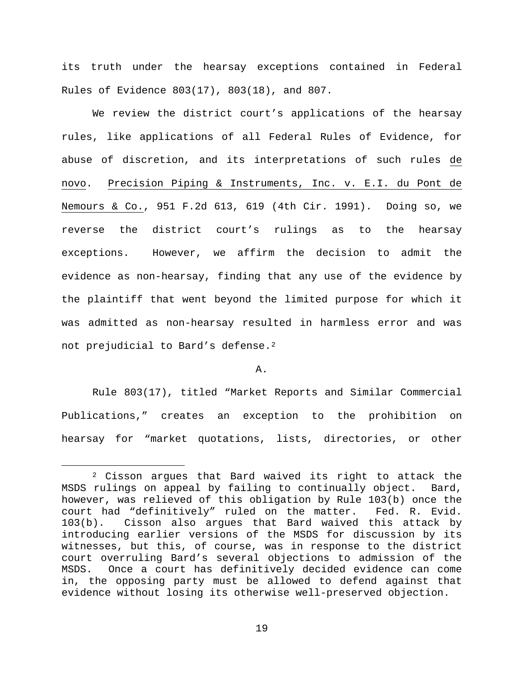its truth under the hearsay exceptions contained in Federal Rules of Evidence 803(17), 803(18), and 807.

We review the district court's applications of the hearsay rules, like applications of all Federal Rules of Evidence, for abuse of discretion, and its interpretations of such rules de novo. Precision Piping & Instruments, Inc. v. E.I. du Pont de Nemours & Co., 951 F.2d 613, 619 (4th Cir. 1991). Doing so, we reverse the district court's rulings as to the hearsay exceptions. However, we affirm the decision to admit the evidence as non-hearsay, finding that any use of the evidence by the plaintiff that went beyond the limited purpose for which it was admitted as non-hearsay resulted in harmless error and was not prejudicial to Bard's defense.[2](#page-18-0)

### A.

Rule 803(17), titled "Market Reports and Similar Commercial Publications," creates an exception to the prohibition on hearsay for "market quotations, lists, directories, or other

<span id="page-18-0"></span> $2$  Cisson argues that Bard waived its right to attack the MSDS rulings on appeal by failing to continually object. Bard, however, was relieved of this obligation by Rule 103(b) once the court had "definitively" ruled on the matter. Fed. R. Evid. 103(b). Cisson also argues that Bard waived this attack by introducing earlier versions of the MSDS for discussion by its witnesses, but this, of course, was in response to the district court overruling Bard's several objections to admission of the Once a court has definitively decided evidence can come in, the opposing party must be allowed to defend against that evidence without losing its otherwise well-preserved objection.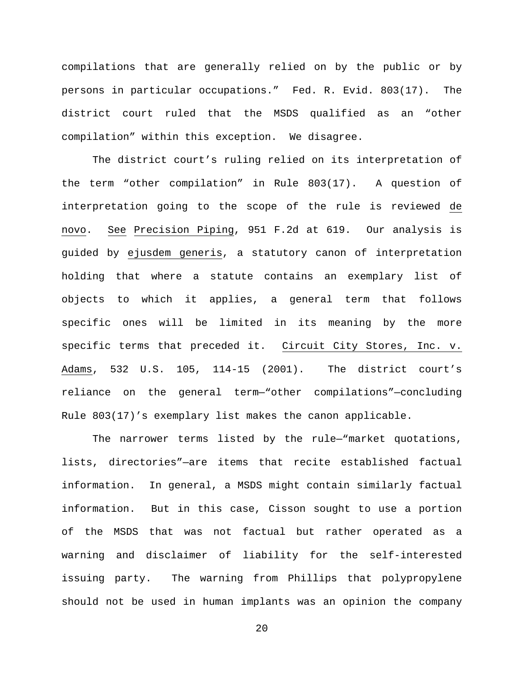compilations that are generally relied on by the public or by persons in particular occupations." Fed. R. Evid. 803(17). The district court ruled that the MSDS qualified as an "other compilation" within this exception. We disagree.

The district court's ruling relied on its interpretation of the term "other compilation" in Rule 803(17). A question of interpretation going to the scope of the rule is reviewed de novo. See Precision Piping, 951 F.2d at 619. Our analysis is guided by ejusdem generis, a statutory canon of interpretation holding that where a statute contains an exemplary list of objects to which it applies, a general term that follows specific ones will be limited in its meaning by the more specific terms that preceded it. Circuit City Stores, Inc. v. Adams, 532 U.S. 105, 114-15 (2001). The district court's reliance on the general term—"other compilations"—concluding Rule 803(17)'s exemplary list makes the canon applicable.

The narrower terms listed by the rule—"market quotations, lists, directories"—are items that recite established factual information. In general, a MSDS might contain similarly factual information. But in this case, Cisson sought to use a portion of the MSDS that was not factual but rather operated as a warning and disclaimer of liability for the self-interested issuing party. The warning from Phillips that polypropylene should not be used in human implants was an opinion the company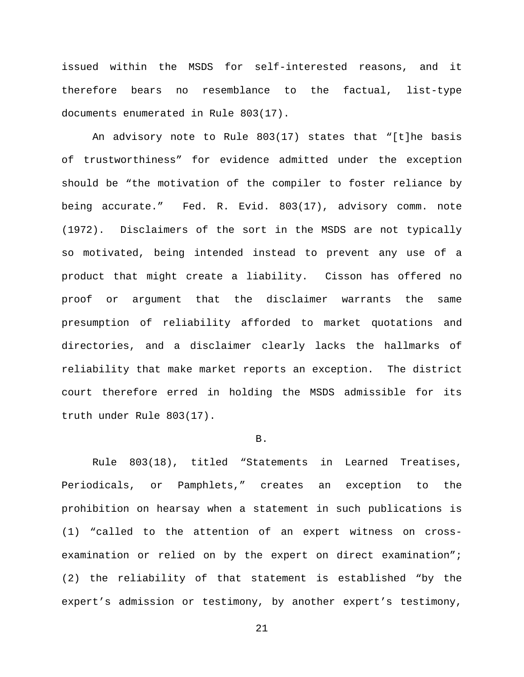issued within the MSDS for self-interested reasons, and it therefore bears no resemblance to the factual, list-type documents enumerated in Rule 803(17).

An advisory note to Rule 803(17) states that "[t]he basis of trustworthiness" for evidence admitted under the exception should be "the motivation of the compiler to foster reliance by being accurate." Fed. R. Evid. 803(17), advisory comm. note (1972). Disclaimers of the sort in the MSDS are not typically so motivated, being intended instead to prevent any use of a product that might create a liability. Cisson has offered no proof or argument that the disclaimer warrants the same presumption of reliability afforded to market quotations and directories, and a disclaimer clearly lacks the hallmarks of reliability that make market reports an exception. The district court therefore erred in holding the MSDS admissible for its truth under Rule 803(17).

#### B.

Rule 803(18), titled "Statements in Learned Treatises, Periodicals, or Pamphlets," creates an exception to the prohibition on hearsay when a statement in such publications is (1) "called to the attention of an expert witness on crossexamination or relied on by the expert on direct examination"; (2) the reliability of that statement is established "by the expert's admission or testimony, by another expert's testimony,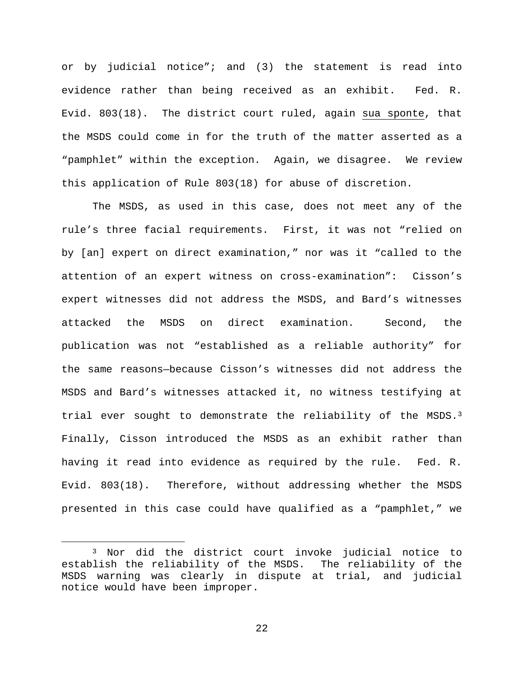or by judicial notice"; and (3) the statement is read into evidence rather than being received as an exhibit. Fed. R. Evid. 803(18). The district court ruled, again sua sponte, that the MSDS could come in for the truth of the matter asserted as a "pamphlet" within the exception. Again, we disagree. We review this application of Rule 803(18) for abuse of discretion.

The MSDS, as used in this case, does not meet any of the rule's three facial requirements. First, it was not "relied on by [an] expert on direct examination," nor was it "called to the attention of an expert witness on cross-examination": Cisson's expert witnesses did not address the MSDS, and Bard's witnesses attacked the MSDS on direct examination. Second, the publication was not "established as a reliable authority" for the same reasons—because Cisson's witnesses did not address the MSDS and Bard's witnesses attacked it, no witness testifying at trial ever sought to demonstrate the reliability of the MSDS. $3$ Finally, Cisson introduced the MSDS as an exhibit rather than having it read into evidence as required by the rule. Fed. R. Evid. 803(18). Therefore, without addressing whether the MSDS presented in this case could have qualified as a "pamphlet," we

<span id="page-21-0"></span> <sup>3</sup> Nor did the district court invoke judicial notice to establish the reliability of the MSDS. The reliability of the MSDS warning was clearly in dispute at trial, and judicial notice would have been improper.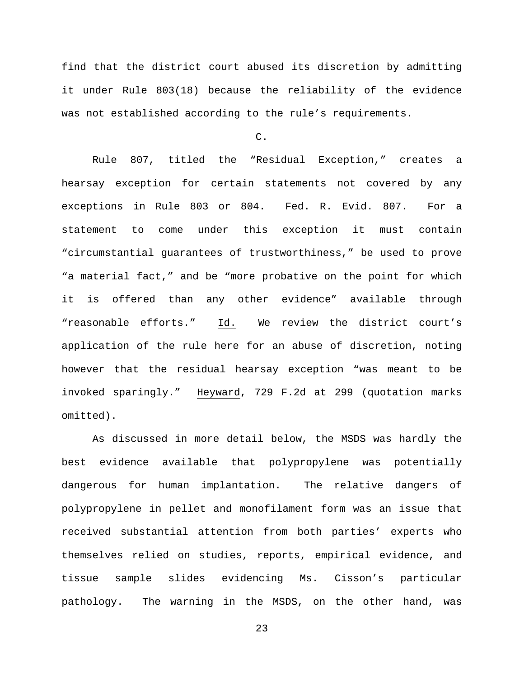find that the district court abused its discretion by admitting it under Rule 803(18) because the reliability of the evidence was not established according to the rule's requirements.

C.

Rule 807, titled the "Residual Exception," creates a hearsay exception for certain statements not covered by any exceptions in Rule 803 or 804. Fed. R. Evid. 807. For a statement to come under this exception it must contain "circumstantial guarantees of trustworthiness," be used to prove "a material fact," and be "more probative on the point for which it is offered than any other evidence" available through "reasonable efforts." Id. We review the district court's application of the rule here for an abuse of discretion, noting however that the residual hearsay exception "was meant to be invoked sparingly." Heyward, 729 F.2d at 299 (quotation marks omitted).

As discussed in more detail below, the MSDS was hardly the best evidence available that polypropylene was potentially dangerous for human implantation. The relative dangers of polypropylene in pellet and monofilament form was an issue that received substantial attention from both parties' experts who themselves relied on studies, reports, empirical evidence, and tissue sample slides evidencing Ms. Cisson's particular pathology. The warning in the MSDS, on the other hand, was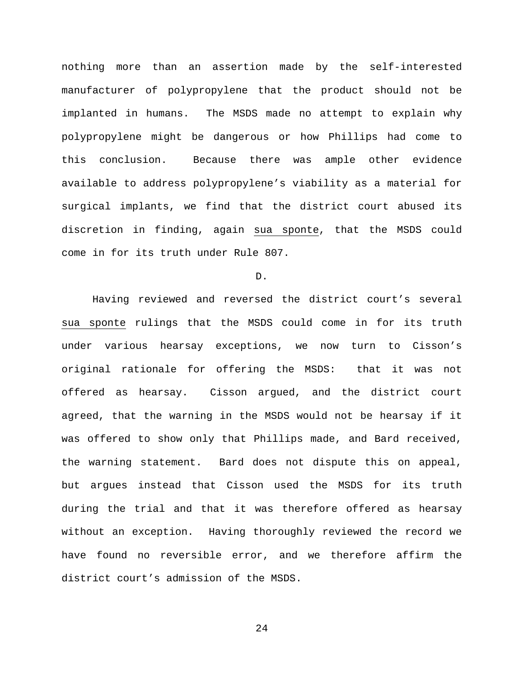nothing more than an assertion made by the self-interested manufacturer of polypropylene that the product should not be implanted in humans. The MSDS made no attempt to explain why polypropylene might be dangerous or how Phillips had come to this conclusion. Because there was ample other evidence available to address polypropylene's viability as a material for surgical implants, we find that the district court abused its discretion in finding, again sua sponte, that the MSDS could come in for its truth under Rule 807.

D.

Having reviewed and reversed the district court's several sua sponte rulings that the MSDS could come in for its truth under various hearsay exceptions, we now turn to Cisson's original rationale for offering the MSDS: that it was not offered as hearsay. Cisson argued, and the district court agreed, that the warning in the MSDS would not be hearsay if it was offered to show only that Phillips made, and Bard received, the warning statement. Bard does not dispute this on appeal, but argues instead that Cisson used the MSDS for its truth during the trial and that it was therefore offered as hearsay without an exception. Having thoroughly reviewed the record we have found no reversible error, and we therefore affirm the district court's admission of the MSDS.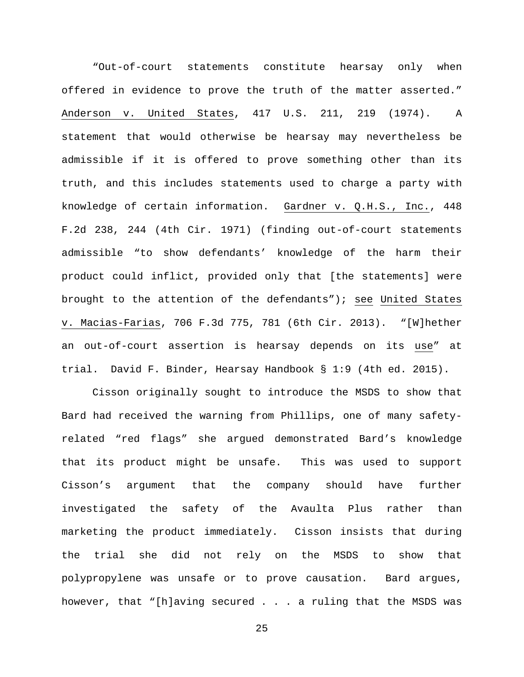"Out-of-court statements constitute hearsay only when offered in evidence to prove the truth of the matter asserted." Anderson v. United States, 417 U.S. 211, 219 (1974). A statement that would otherwise be hearsay may nevertheless be admissible if it is offered to prove something other than its truth, and this includes statements used to charge a party with knowledge of certain information. Gardner v. Q.H.S., Inc., 448 F.2d 238, 244 (4th Cir. 1971) (finding out-of-court statements admissible "to show defendants' knowledge of the harm their product could inflict, provided only that [the statements] were brought to the attention of the defendants"); see United States v. Macias-Farias, 706 F.3d 775, 781 (6th Cir. 2013). "[W]hether an out-of-court assertion is hearsay depends on its use" at trial. David F. Binder, Hearsay Handbook § 1:9 (4th ed. 2015).

Cisson originally sought to introduce the MSDS to show that Bard had received the warning from Phillips, one of many safetyrelated "red flags" she argued demonstrated Bard's knowledge that its product might be unsafe. This was used to support Cisson's argument that the company should have further investigated the safety of the Avaulta Plus rather than marketing the product immediately. Cisson insists that during the trial she did not rely on the MSDS to show that polypropylene was unsafe or to prove causation. Bard argues, however, that "[h]aving secured . . . a ruling that the MSDS was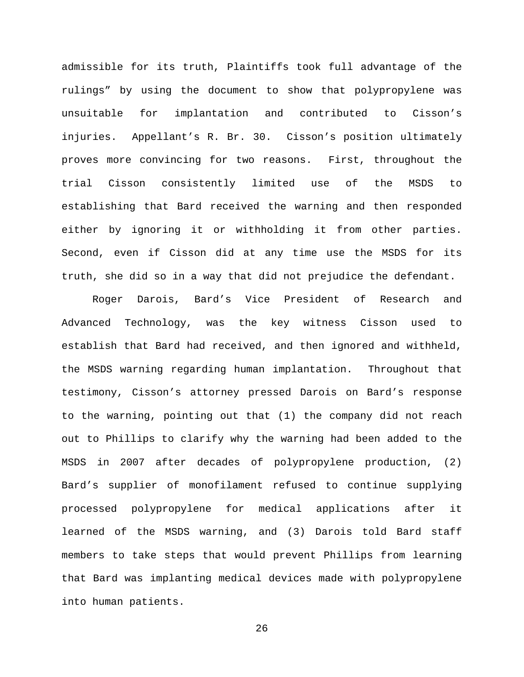admissible for its truth, Plaintiffs took full advantage of the rulings" by using the document to show that polypropylene was unsuitable for implantation and contributed to Cisson's injuries. Appellant's R. Br. 30. Cisson's position ultimately proves more convincing for two reasons. First, throughout the trial Cisson consistently limited use of the MSDS to establishing that Bard received the warning and then responded either by ignoring it or withholding it from other parties. Second, even if Cisson did at any time use the MSDS for its truth, she did so in a way that did not prejudice the defendant.

Roger Darois, Bard's Vice President of Research and Advanced Technology, was the key witness Cisson used to establish that Bard had received, and then ignored and withheld, the MSDS warning regarding human implantation. Throughout that testimony, Cisson's attorney pressed Darois on Bard's response to the warning, pointing out that (1) the company did not reach out to Phillips to clarify why the warning had been added to the MSDS in 2007 after decades of polypropylene production, (2) Bard's supplier of monofilament refused to continue supplying processed polypropylene for medical applications after it learned of the MSDS warning, and (3) Darois told Bard staff members to take steps that would prevent Phillips from learning that Bard was implanting medical devices made with polypropylene into human patients.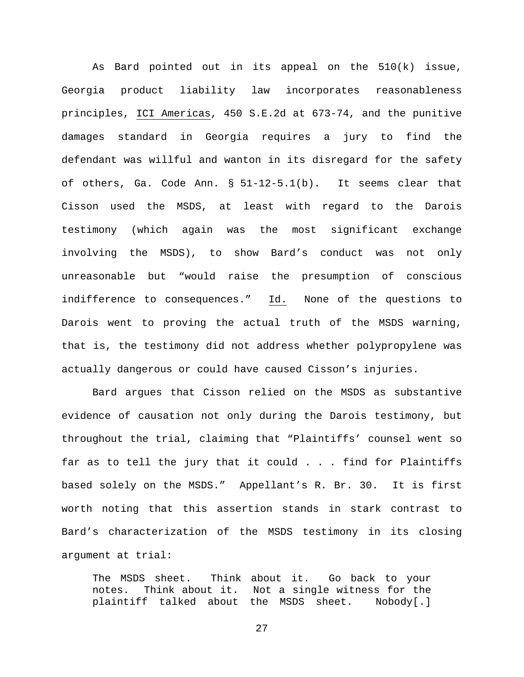As Bard pointed out in its appeal on the 510(k) issue, Georgia product liability law incorporates reasonableness principles, ICI Americas, 450 S.E.2d at 673-74, and the punitive damages standard in Georgia requires a jury to find the defendant was willful and wanton in its disregard for the safety of others, Ga. Code Ann. § 51-12-5.1(b). It seems clear that Cisson used the MSDS, at least with regard to the Darois testimony (which again was the most significant exchange involving the MSDS), to show Bard's conduct was not only unreasonable but "would raise the presumption of conscious indifference to consequences." Id. None of the questions to Darois went to proving the actual truth of the MSDS warning, that is, the testimony did not address whether polypropylene was actually dangerous or could have caused Cisson's injuries.

Bard argues that Cisson relied on the MSDS as substantive evidence of causation not only during the Darois testimony, but throughout the trial, claiming that "Plaintiffs' counsel went so far as to tell the jury that it could . . . find for Plaintiffs based solely on the MSDS." Appellant's R. Br. 30. It is first worth noting that this assertion stands in stark contrast to Bard's characterization of the MSDS testimony in its closing argument at trial:

The MSDS sheet. Think about it. Go back to your<br>notes. Think about it. Not a single witness for the notes. Think about it. Not a single witness for the plaintiff talked about the MSDS sheet. Nobody[.]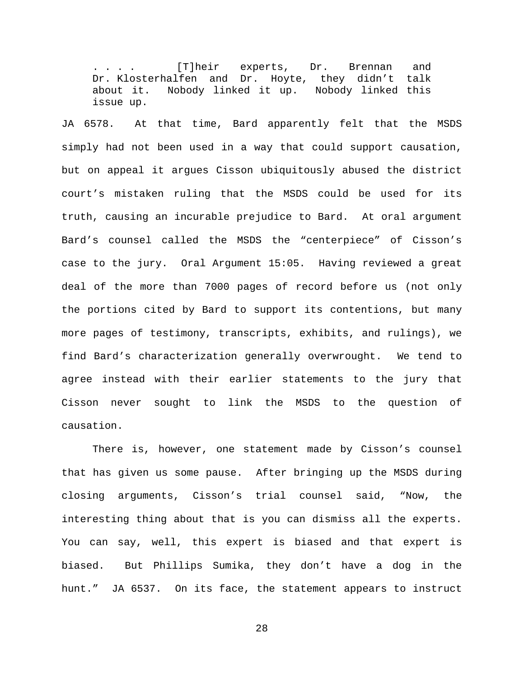. . . . [T]heir experts, Dr. Brennan and Dr. Klosterhalfen and Dr. Hoyte, they didn't talk about it. Nobody linked it up. Nobody linked this issue up.

JA 6578. At that time, Bard apparently felt that the MSDS simply had not been used in a way that could support causation, but on appeal it argues Cisson ubiquitously abused the district court's mistaken ruling that the MSDS could be used for its truth, causing an incurable prejudice to Bard. At oral argument Bard's counsel called the MSDS the "centerpiece" of Cisson's case to the jury. Oral Argument 15:05. Having reviewed a great deal of the more than 7000 pages of record before us (not only the portions cited by Bard to support its contentions, but many more pages of testimony, transcripts, exhibits, and rulings), we find Bard's characterization generally overwrought. We tend to agree instead with their earlier statements to the jury that Cisson never sought to link the MSDS to the question of causation.

There is, however, one statement made by Cisson's counsel that has given us some pause. After bringing up the MSDS during closing arguments, Cisson's trial counsel said, "Now, the interesting thing about that is you can dismiss all the experts. You can say, well, this expert is biased and that expert is biased. But Phillips Sumika, they don't have a dog in the hunt." JA 6537. On its face, the statement appears to instruct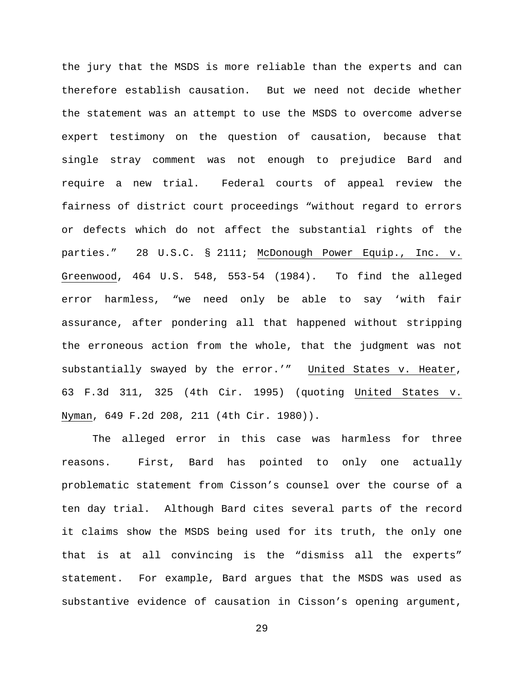the jury that the MSDS is more reliable than the experts and can therefore establish causation. But we need not decide whether the statement was an attempt to use the MSDS to overcome adverse expert testimony on the question of causation, because that single stray comment was not enough to prejudice Bard and require a new trial. Federal courts of appeal review the fairness of district court proceedings "without regard to errors or defects which do not affect the substantial rights of the parties." 28 U.S.C. § 2111; McDonough Power Equip., Inc. v. Greenwood, 464 U.S. 548, 553-54 (1984). To find the alleged error harmless, "we need only be able to say 'with fair assurance, after pondering all that happened without stripping the erroneous action from the whole, that the judgment was not substantially swayed by the error.'" United States v. Heater, 63 F.3d 311, 325 (4th Cir. 1995) (quoting United States v. Nyman, 649 F.2d 208, 211 (4th Cir. 1980)).

The alleged error in this case was harmless for three reasons. First, Bard has pointed to only one actually problematic statement from Cisson's counsel over the course of a ten day trial. Although Bard cites several parts of the record it claims show the MSDS being used for its truth, the only one that is at all convincing is the "dismiss all the experts" statement. For example, Bard argues that the MSDS was used as substantive evidence of causation in Cisson's opening argument,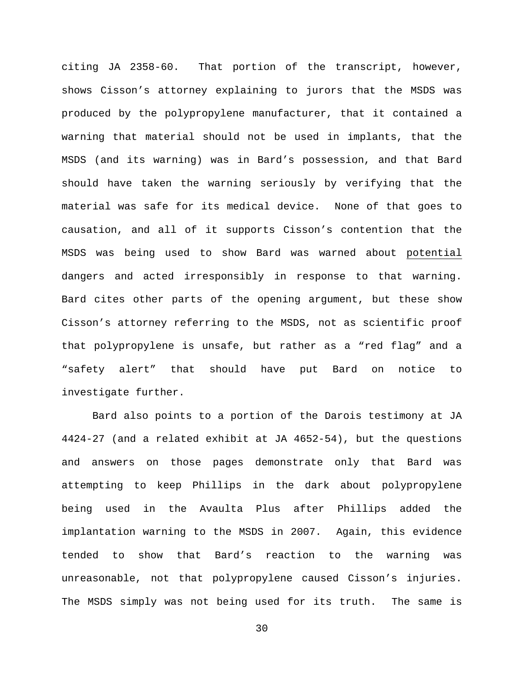citing JA 2358-60. That portion of the transcript, however, shows Cisson's attorney explaining to jurors that the MSDS was produced by the polypropylene manufacturer, that it contained a warning that material should not be used in implants, that the MSDS (and its warning) was in Bard's possession, and that Bard should have taken the warning seriously by verifying that the material was safe for its medical device. None of that goes to causation, and all of it supports Cisson's contention that the MSDS was being used to show Bard was warned about potential dangers and acted irresponsibly in response to that warning. Bard cites other parts of the opening argument, but these show Cisson's attorney referring to the MSDS, not as scientific proof that polypropylene is unsafe, but rather as a "red flag" and a "safety alert" that should have put Bard on notice to investigate further.

Bard also points to a portion of the Darois testimony at JA 4424-27 (and a related exhibit at JA 4652-54), but the questions and answers on those pages demonstrate only that Bard was attempting to keep Phillips in the dark about polypropylene being used in the Avaulta Plus after Phillips added the implantation warning to the MSDS in 2007. Again, this evidence tended to show that Bard's reaction to the warning was unreasonable, not that polypropylene caused Cisson's injuries. The MSDS simply was not being used for its truth. The same is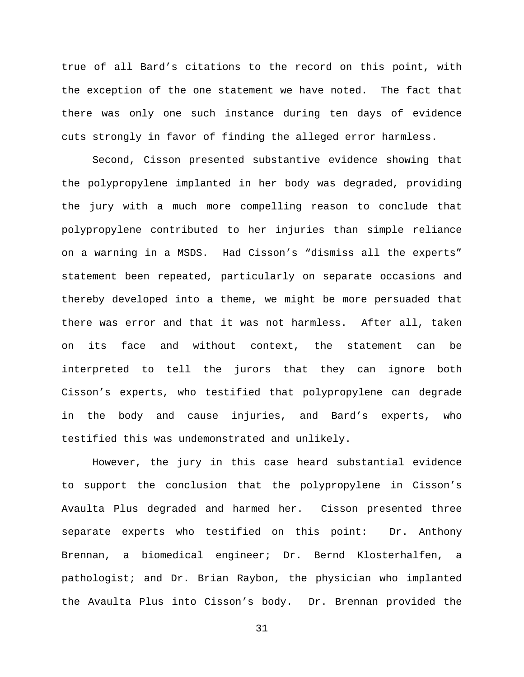true of all Bard's citations to the record on this point, with the exception of the one statement we have noted. The fact that there was only one such instance during ten days of evidence cuts strongly in favor of finding the alleged error harmless.

Second, Cisson presented substantive evidence showing that the polypropylene implanted in her body was degraded, providing the jury with a much more compelling reason to conclude that polypropylene contributed to her injuries than simple reliance on a warning in a MSDS. Had Cisson's "dismiss all the experts" statement been repeated, particularly on separate occasions and thereby developed into a theme, we might be more persuaded that there was error and that it was not harmless. After all, taken on its face and without context, the statement can be interpreted to tell the jurors that they can ignore both Cisson's experts, who testified that polypropylene can degrade in the body and cause injuries, and Bard's experts, who testified this was undemonstrated and unlikely.

However, the jury in this case heard substantial evidence to support the conclusion that the polypropylene in Cisson's Avaulta Plus degraded and harmed her. Cisson presented three separate experts who testified on this point: Dr. Anthony Brennan, a biomedical engineer; Dr. Bernd Klosterhalfen, a pathologist; and Dr. Brian Raybon, the physician who implanted the Avaulta Plus into Cisson's body. Dr. Brennan provided the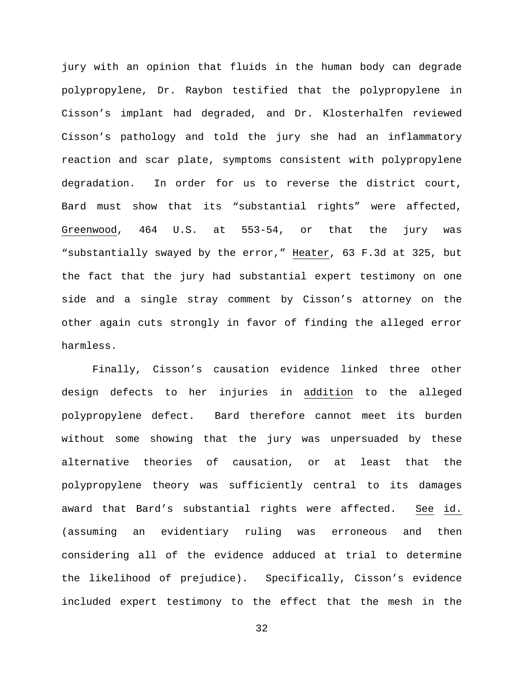jury with an opinion that fluids in the human body can degrade polypropylene, Dr. Raybon testified that the polypropylene in Cisson's implant had degraded, and Dr. Klosterhalfen reviewed Cisson's pathology and told the jury she had an inflammatory reaction and scar plate, symptoms consistent with polypropylene degradation. In order for us to reverse the district court, Bard must show that its "substantial rights" were affected, Greenwood, 464 U.S. at 553-54, or that the jury was "substantially swayed by the error," Heater, 63 F.3d at 325, but the fact that the jury had substantial expert testimony on one side and a single stray comment by Cisson's attorney on the other again cuts strongly in favor of finding the alleged error harmless.

Finally, Cisson's causation evidence linked three other design defects to her injuries in addition to the alleged polypropylene defect. Bard therefore cannot meet its burden without some showing that the jury was unpersuaded by these alternative theories of causation, or at least that the polypropylene theory was sufficiently central to its damages award that Bard's substantial rights were affected. See id. (assuming an evidentiary ruling was erroneous and then considering all of the evidence adduced at trial to determine the likelihood of prejudice). Specifically, Cisson's evidence included expert testimony to the effect that the mesh in the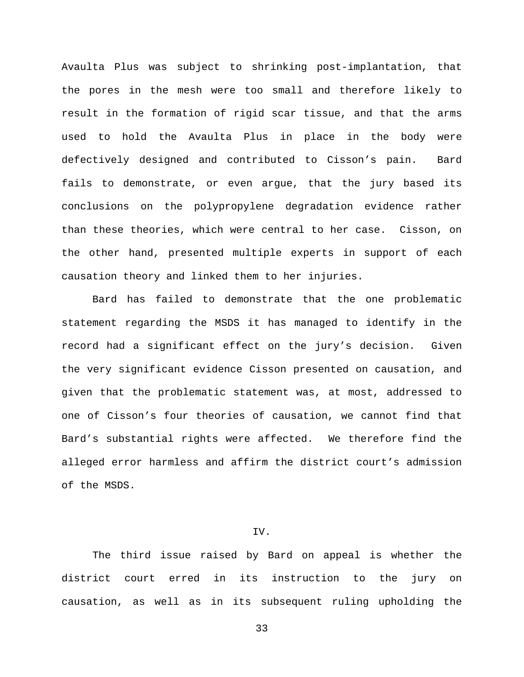Avaulta Plus was subject to shrinking post-implantation, that the pores in the mesh were too small and therefore likely to result in the formation of rigid scar tissue, and that the arms used to hold the Avaulta Plus in place in the body were defectively designed and contributed to Cisson's pain. Bard fails to demonstrate, or even argue, that the jury based its conclusions on the polypropylene degradation evidence rather than these theories, which were central to her case. Cisson, on the other hand, presented multiple experts in support of each causation theory and linked them to her injuries.

Bard has failed to demonstrate that the one problematic statement regarding the MSDS it has managed to identify in the record had a significant effect on the jury's decision. Given the very significant evidence Cisson presented on causation, and given that the problematic statement was, at most, addressed to one of Cisson's four theories of causation, we cannot find that Bard's substantial rights were affected. We therefore find the alleged error harmless and affirm the district court's admission of the MSDS.

# IV.

The third issue raised by Bard on appeal is whether the district court erred in its instruction to the jury on causation, as well as in its subsequent ruling upholding the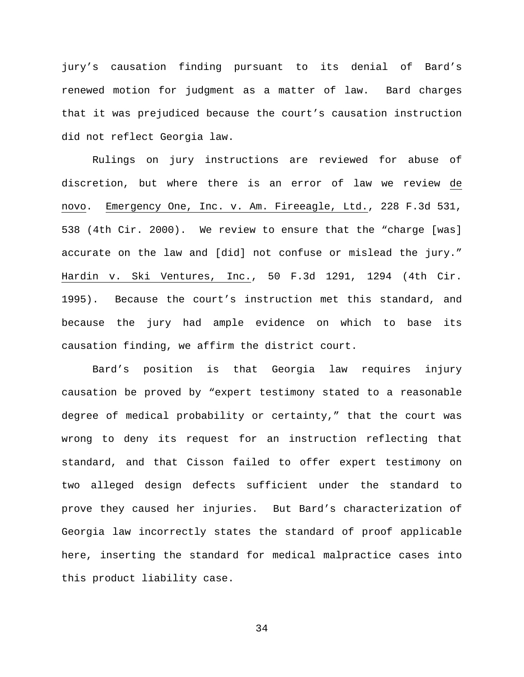jury's causation finding pursuant to its denial of Bard's renewed motion for judgment as a matter of law. Bard charges that it was prejudiced because the court's causation instruction did not reflect Georgia law.

Rulings on jury instructions are reviewed for abuse of discretion, but where there is an error of law we review de novo. Emergency One, Inc. v. Am. Fireeagle, Ltd., 228 F.3d 531, 538 (4th Cir. 2000). We review to ensure that the "charge [was] accurate on the law and [did] not confuse or mislead the jury." Hardin v. Ski Ventures, Inc., 50 F.3d 1291, 1294 (4th Cir. 1995). Because the court's instruction met this standard, and because the jury had ample evidence on which to base its causation finding, we affirm the district court.

Bard's position is that Georgia law requires injury causation be proved by "expert testimony stated to a reasonable degree of medical probability or certainty," that the court was wrong to deny its request for an instruction reflecting that standard, and that Cisson failed to offer expert testimony on two alleged design defects sufficient under the standard to prove they caused her injuries. But Bard's characterization of Georgia law incorrectly states the standard of proof applicable here, inserting the standard for medical malpractice cases into this product liability case.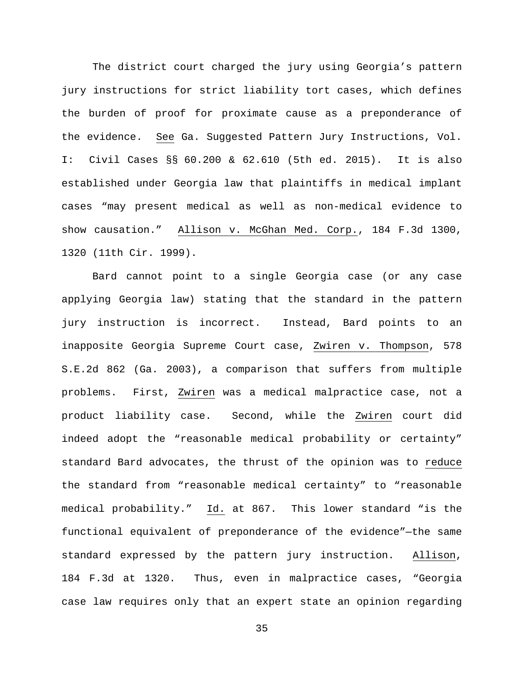The district court charged the jury using Georgia's pattern jury instructions for strict liability tort cases, which defines the burden of proof for proximate cause as a preponderance of the evidence. See Ga. Suggested Pattern Jury Instructions, Vol. I: Civil Cases §§ 60.200 & 62.610 (5th ed. 2015). It is also established under Georgia law that plaintiffs in medical implant cases "may present medical as well as non-medical evidence to show causation." Allison v. McGhan Med. Corp., 184 F.3d 1300, 1320 (11th Cir. 1999).

Bard cannot point to a single Georgia case (or any case applying Georgia law) stating that the standard in the pattern jury instruction is incorrect. Instead, Bard points to an inapposite Georgia Supreme Court case, Zwiren v. Thompson, 578 S.E.2d 862 (Ga. 2003), a comparison that suffers from multiple problems. First, Zwiren was a medical malpractice case, not a product liability case. Second, while the Zwiren court did indeed adopt the "reasonable medical probability or certainty" standard Bard advocates, the thrust of the opinion was to reduce the standard from "reasonable medical certainty" to "reasonable medical probability." Id. at 867. This lower standard "is the functional equivalent of preponderance of the evidence"—the same standard expressed by the pattern jury instruction. Allison, 184 F.3d at 1320. Thus, even in malpractice cases, "Georgia case law requires only that an expert state an opinion regarding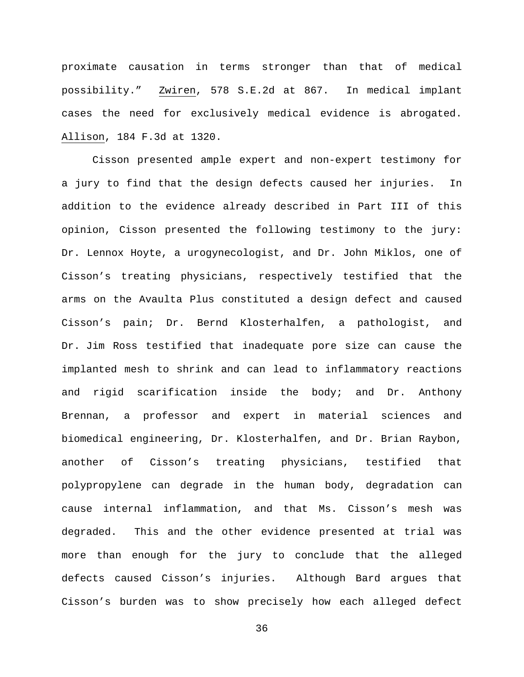proximate causation in terms stronger than that of medical possibility." Zwiren, 578 S.E.2d at 867. In medical implant cases the need for exclusively medical evidence is abrogated. Allison, 184 F.3d at 1320.

Cisson presented ample expert and non-expert testimony for a jury to find that the design defects caused her injuries. In addition to the evidence already described in Part III of this opinion, Cisson presented the following testimony to the jury: Dr. Lennox Hoyte, a urogynecologist, and Dr. John Miklos, one of Cisson's treating physicians, respectively testified that the arms on the Avaulta Plus constituted a design defect and caused Cisson's pain; Dr. Bernd Klosterhalfen, a pathologist, and Dr. Jim Ross testified that inadequate pore size can cause the implanted mesh to shrink and can lead to inflammatory reactions and rigid scarification inside the body; and Dr. Anthony Brennan, a professor and expert in material sciences and biomedical engineering, Dr. Klosterhalfen, and Dr. Brian Raybon, another of Cisson's treating physicians, testified that polypropylene can degrade in the human body, degradation can cause internal inflammation, and that Ms. Cisson's mesh was degraded. This and the other evidence presented at trial was more than enough for the jury to conclude that the alleged defects caused Cisson's injuries. Although Bard argues that Cisson's burden was to show precisely how each alleged defect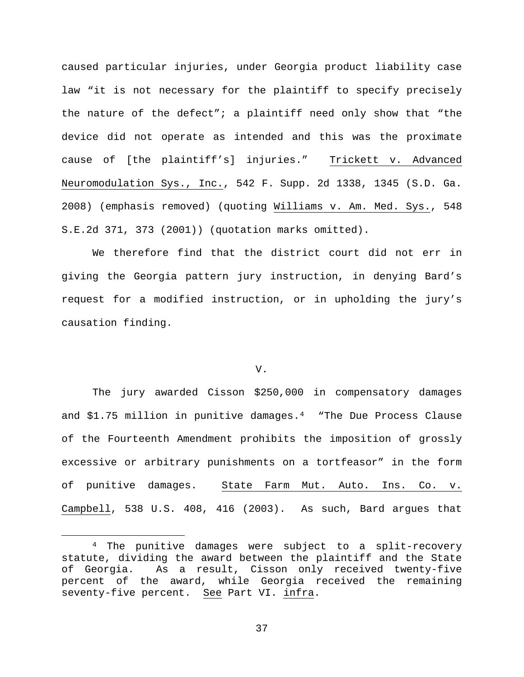caused particular injuries, under Georgia product liability case law "it is not necessary for the plaintiff to specify precisely the nature of the defect"; a plaintiff need only show that "the device did not operate as intended and this was the proximate cause of [the plaintiff's] injuries." Trickett v. Advanced Neuromodulation Sys., Inc., 542 F. Supp. 2d 1338, 1345 (S.D. Ga. 2008) (emphasis removed) (quoting Williams v. Am. Med. Sys., 548 S.E.2d 371, 373 (2001)) (quotation marks omitted).

We therefore find that the district court did not err in giving the Georgia pattern jury instruction, in denying Bard's request for a modified instruction, or in upholding the jury's causation finding.

### V.

The jury awarded Cisson \$250,000 in compensatory damages and \$1.75 million in punitive damages.[4](#page-36-0) "The Due Process Clause of the Fourteenth Amendment prohibits the imposition of grossly excessive or arbitrary punishments on a tortfeasor" in the form of punitive damages. State Farm Mut. Auto. Ins. Co. v. Campbell, 538 U.S. 408, 416 (2003). As such, Bard argues that

<span id="page-36-0"></span> <sup>4</sup> The punitive damages were subject to a split-recovery statute, dividing the award between the plaintiff and the State<br>of Georgia. As a result, Cisson only received twenty-five As a result, Cisson only received twenty-five percent of the award, while Georgia received the remaining seventy-five percent. See Part VI. infra.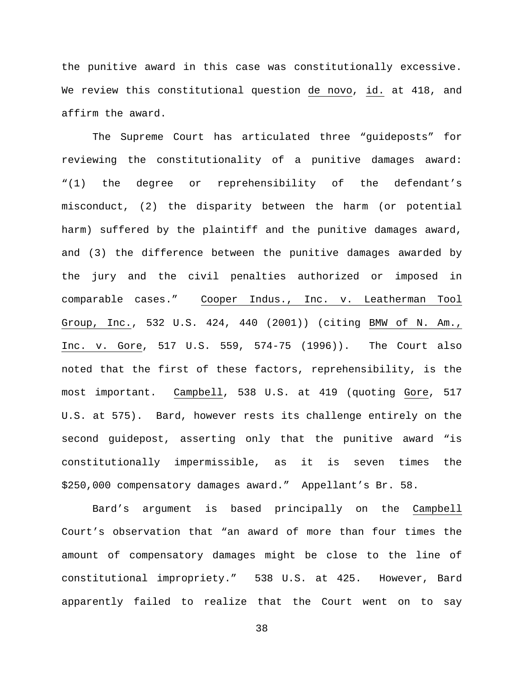the punitive award in this case was constitutionally excessive. We review this constitutional question de novo, id. at 418, and affirm the award.

The Supreme Court has articulated three "guideposts" for reviewing the constitutionality of a punitive damages award: "(1) the degree or reprehensibility of the defendant's misconduct, (2) the disparity between the harm (or potential harm) suffered by the plaintiff and the punitive damages award, and (3) the difference between the punitive damages awarded by the jury and the civil penalties authorized or imposed in comparable cases." Cooper Indus., Inc. v. Leatherman Tool Group, Inc., 532 U.S. 424, 440 (2001)) (citing BMW of N. Am., Inc. v. Gore, 517 U.S. 559, 574-75 (1996)). The Court also noted that the first of these factors, reprehensibility, is the most important. Campbell, 538 U.S. at 419 (quoting Gore, 517 U.S. at 575). Bard, however rests its challenge entirely on the second guidepost, asserting only that the punitive award "is constitutionally impermissible, as it is seven times the \$250,000 compensatory damages award." Appellant's Br. 58.

Bard's argument is based principally on the Campbell Court's observation that "an award of more than four times the amount of compensatory damages might be close to the line of constitutional impropriety." 538 U.S. at 425. However, Bard apparently failed to realize that the Court went on to say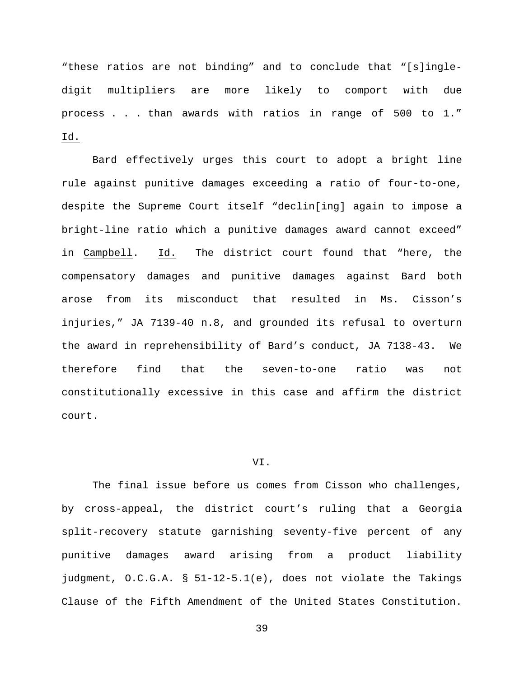"these ratios are not binding" and to conclude that "[s]ingledigit multipliers are more likely to comport with due process . . . than awards with ratios in range of 500 to 1." Id.

Bard effectively urges this court to adopt a bright line rule against punitive damages exceeding a ratio of four-to-one, despite the Supreme Court itself "declin[ing] again to impose a bright-line ratio which a punitive damages award cannot exceed" in Campbell. Id. The district court found that "here, the compensatory damages and punitive damages against Bard both arose from its misconduct that resulted in Ms. Cisson's injuries," JA 7139-40 n.8, and grounded its refusal to overturn the award in reprehensibility of Bard's conduct, JA 7138-43. We therefore find that the seven-to-one ratio was not constitutionally excessive in this case and affirm the district court.

### VI.

The final issue before us comes from Cisson who challenges, by cross-appeal, the district court's ruling that a Georgia split-recovery statute garnishing seventy-five percent of any punitive damages award arising from a product liability judgment, O.C.G.A. § 51-12-5.1(e), does not violate the Takings Clause of the Fifth Amendment of the United States Constitution.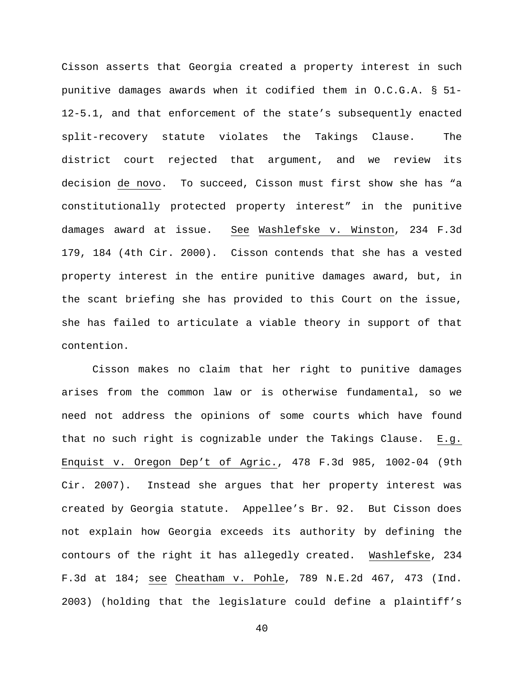Cisson asserts that Georgia created a property interest in such punitive damages awards when it codified them in O.C.G.A. § 51- 12-5.1, and that enforcement of the state's subsequently enacted split-recovery statute violates the Takings Clause. The district court rejected that argument, and we review its decision de novo. To succeed, Cisson must first show she has "a constitutionally protected property interest" in the punitive damages award at issue. See Washlefske v. Winston, 234 F.3d 179, 184 (4th Cir. 2000). Cisson contends that she has a vested property interest in the entire punitive damages award, but, in the scant briefing she has provided to this Court on the issue, she has failed to articulate a viable theory in support of that contention.

Cisson makes no claim that her right to punitive damages arises from the common law or is otherwise fundamental, so we need not address the opinions of some courts which have found that no such right is cognizable under the Takings Clause. E.g. Enquist v. Oregon Dep't of Agric., 478 F.3d 985, 1002-04 (9th Cir. 2007). Instead she argues that her property interest was created by Georgia statute. Appellee's Br. 92. But Cisson does not explain how Georgia exceeds its authority by defining the contours of the right it has allegedly created. Washlefske, 234 F.3d at 184; see Cheatham v. Pohle, 789 N.E.2d 467, 473 (Ind. 2003) (holding that the legislature could define a plaintiff's